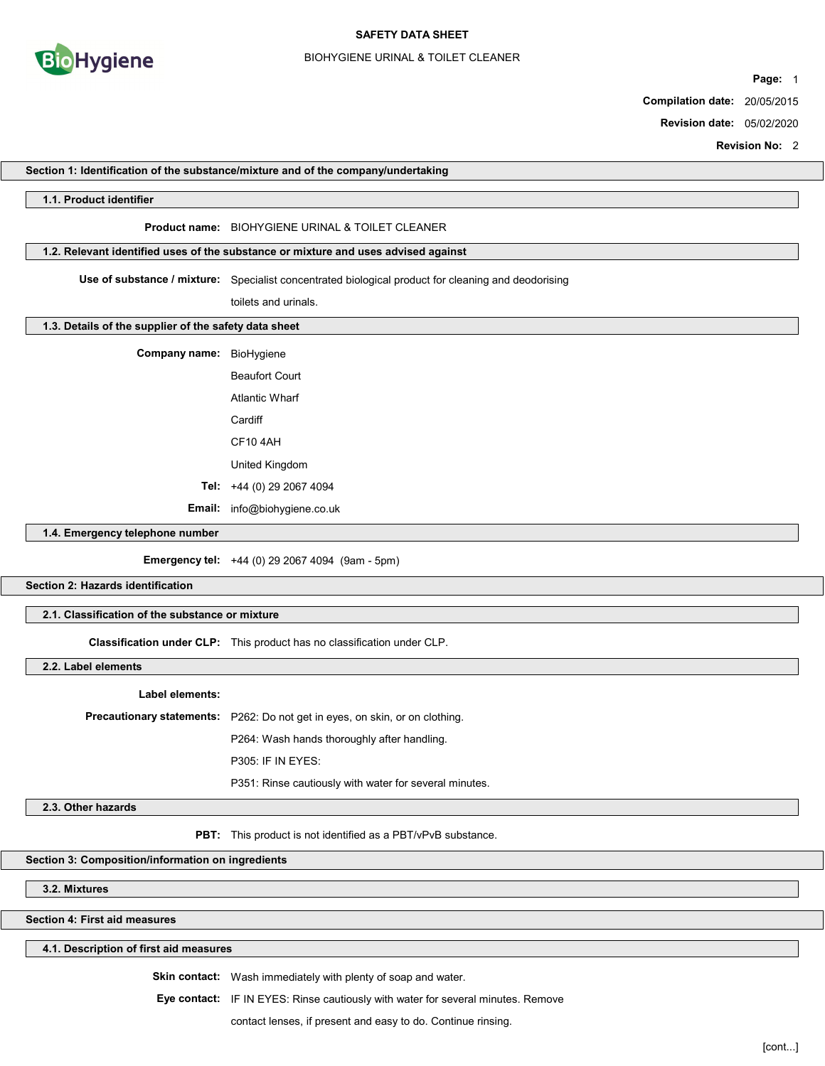

#### SAFETY DATA SHEET

#### BIOHYGIENE URINAL & TOILET CLEANER

Page: 1

Compilation date: 20/05/2015

Revision date: 05/02/2020

Revision No: 2

|                                                       | <b>REVISION NO.</b> Z                                                                               |  |
|-------------------------------------------------------|-----------------------------------------------------------------------------------------------------|--|
|                                                       | Section 1: Identification of the substance/mixture and of the company/undertaking                   |  |
| 1.1. Product identifier                               |                                                                                                     |  |
|                                                       | Product name: BIOHYGIENE URINAL & TOILET CLEANER                                                    |  |
|                                                       | 1.2. Relevant identified uses of the substance or mixture and uses advised against                  |  |
|                                                       | Use of substance / mixture: Specialist concentrated biological product for cleaning and deodorising |  |
|                                                       | toilets and urinals.                                                                                |  |
| 1.3. Details of the supplier of the safety data sheet |                                                                                                     |  |
| Company name: BioHygiene                              |                                                                                                     |  |
|                                                       | <b>Beaufort Court</b>                                                                               |  |
|                                                       |                                                                                                     |  |
|                                                       | <b>Atlantic Wharf</b>                                                                               |  |
|                                                       | Cardiff                                                                                             |  |
|                                                       | CF104AH                                                                                             |  |
|                                                       | United Kingdom                                                                                      |  |
|                                                       | Tel: +44 (0) 29 2067 4094                                                                           |  |
|                                                       | Email: info@biohygiene.co.uk                                                                        |  |
| 1.4. Emergency telephone number                       |                                                                                                     |  |
|                                                       | <b>Emergency tel:</b> +44 (0) 29 2067 4094 (9am - 5pm)                                              |  |
| Section 2: Hazards identification                     |                                                                                                     |  |
| 2.1. Classification of the substance or mixture       |                                                                                                     |  |
|                                                       | Classification under CLP: This product has no classification under CLP.                             |  |
| 2.2. Label elements                                   |                                                                                                     |  |
| Label elements:                                       |                                                                                                     |  |
|                                                       | Precautionary statements: P262: Do not get in eyes, on skin, or on clothing.                        |  |
|                                                       | P264: Wash hands thoroughly after handling.                                                         |  |
|                                                       | P305: IF IN EYES:                                                                                   |  |
|                                                       | P351: Rinse cautiously with water for several minutes.                                              |  |
| 2.3. Other hazards                                    |                                                                                                     |  |
|                                                       | PBT: This product is not identified as a PBT/vPvB substance.                                        |  |
| Section 3: Composition/information on ingredients     |                                                                                                     |  |
| 3.2. Mixtures                                         |                                                                                                     |  |
| Section 4: First aid measures                         |                                                                                                     |  |
| 4.1. Description of first aid measures                |                                                                                                     |  |
|                                                       |                                                                                                     |  |

Eye contact: IF IN EYES: Rinse cautiously with water for several minutes. Remove

contact lenses, if present and easy to do. Continue rinsing.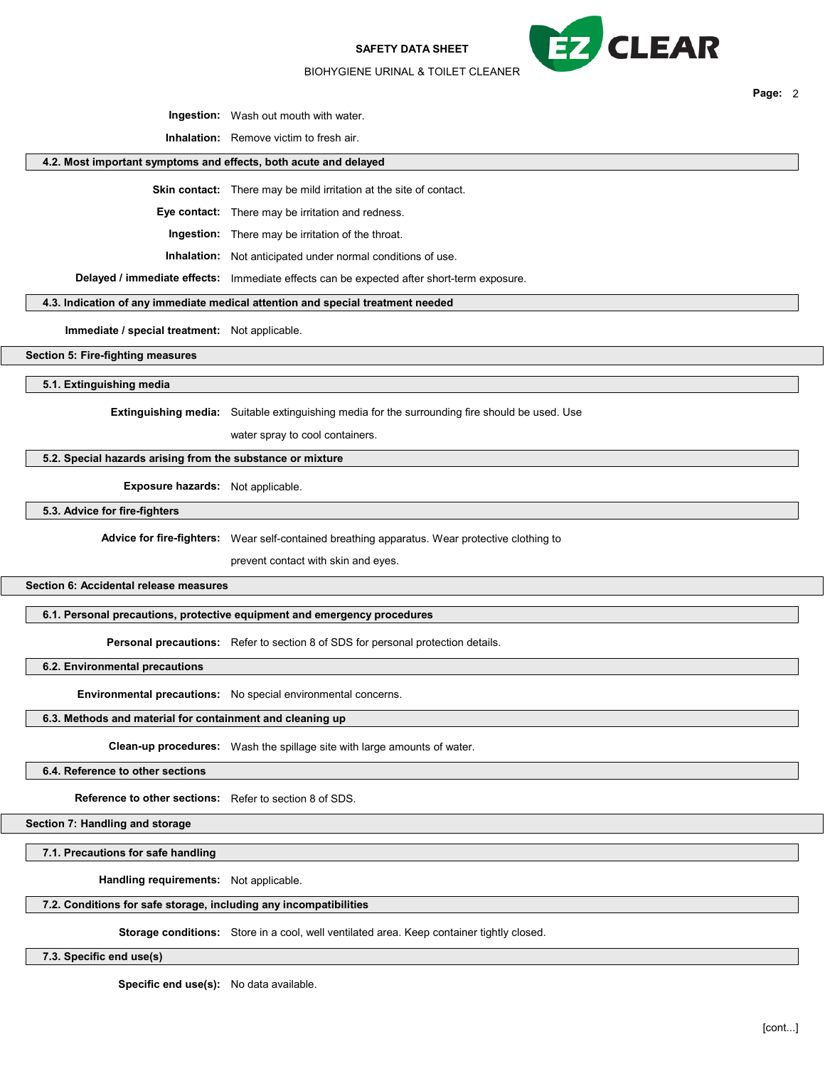SAFETY DATA SHEET



Page: 2

BIOHYGIENE URINAL & TOILET CLEANER

Ingestion: Wash out mouth with water.

Inhalation: Remove victim to fresh air.

### 4.2. Most important symptoms and effects, both acute and delayed

Skin contact: There may be mild irritation at the site of contact.

Eye contact: There may be irritation and redness.

Ingestion: There may be irritation of the throat.

Inhalation: Not anticipated under normal conditions of use.

Delayed / immediate effects: Immediate effects can be expected after short-term exposure.

### 4.3. Indication of any immediate medical attention and special treatment needed

Immediate / special treatment: Not applicable.

Section 5: Fire-fighting measures

5.1. Extinguishing media

**Extinguishing media:** Suitable extinguishing media for the surrounding fire should be used. Use

water spray to cool containers.

# 5.2. Special hazards arising from the substance or mixture

Exposure hazards: Not applicable.

5.3. Advice for fire-fighters

Advice for fire-fighters: Wear self-contained breathing apparatus. Wear protective clothing to

prevent contact with skin and eyes.

Section 6: Accidental release measures

6.1. Personal precautions, protective equipment and emergency procedures

Personal precautions: Refer to section 8 of SDS for personal protection details.

6.2. Environmental precautions

Environmental precautions: No special environmental concerns.

# 6.3. Methods and material for containment and cleaning up

Clean-up procedures: Wash the spillage site with large amounts of water.

6.4. Reference to other sections

Reference to other sections: Refer to section 8 of SDS.

Section 7: Handling and storage

7.1. Precautions for safe handling

Handling requirements: Not applicable.

#### 7.2. Conditions for safe storage, including any incompatibilities

Storage conditions: Store in a cool, well ventilated area. Keep container tightly closed.

7.3. Specific end use(s)

Specific end use(s): No data available.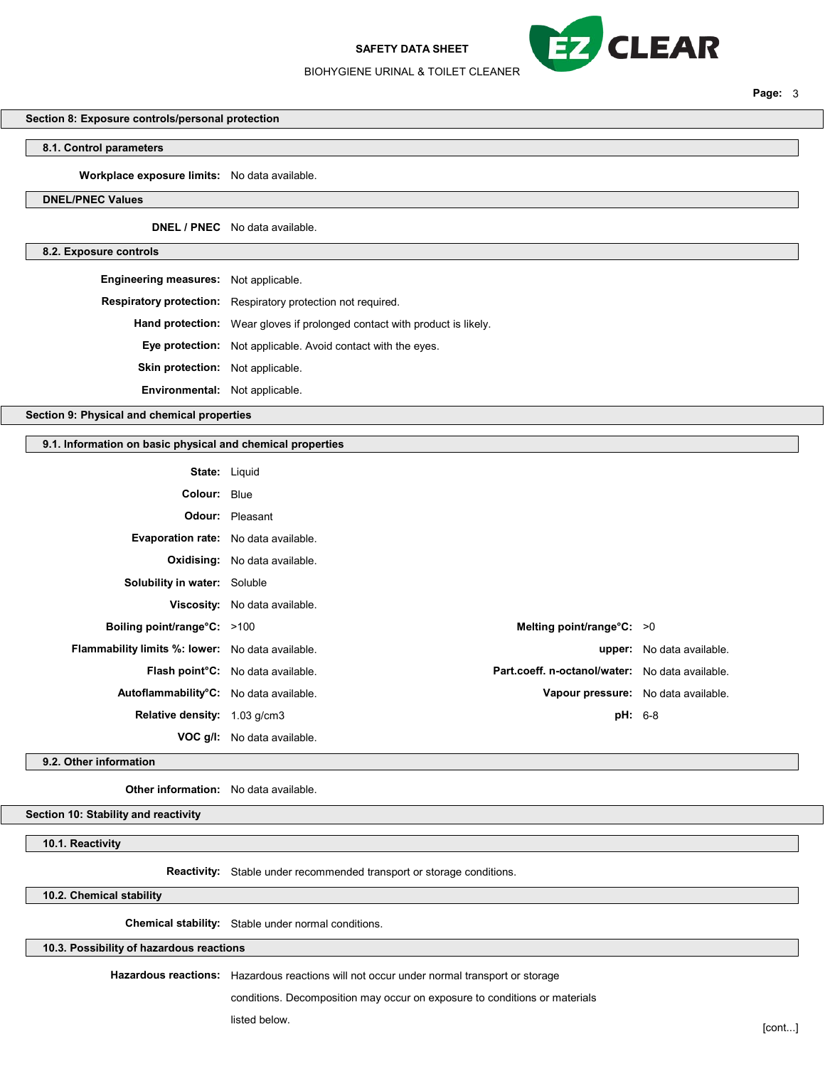#### SAFETY DATA SHEET



Page: 3

#### BIOHYGIENE URINAL & TOILET CLEANER

# Section 8: Exposure controls/personal protection

# 8.1. Control parameters

Workplace exposure limits: No data available.

### DNEL/PNEC Values

DNEL / PNEC No data available.

#### 8.2. Exposure controls

| <b>Engineering measures:</b> Not applicable. |                                                                                  |
|----------------------------------------------|----------------------------------------------------------------------------------|
|                                              | <b>Respiratory protection:</b> Respiratory protection not required.              |
|                                              | <b>Hand protection:</b> Wear gloves if prolonged contact with product is likely. |
|                                              | <b>Eye protection:</b> Not applicable. Avoid contact with the eyes.              |
| <b>Skin protection:</b> Not applicable.      |                                                                                  |
| <b>Environmental:</b> Not applicable.        |                                                                                  |
|                                              |                                                                                  |

Section 9: Physical and chemical properties

# 9.1. Information on basic physical and chemical properties

| <b>State: Liquid</b>                                    |                                                |                                                 |                           |
|---------------------------------------------------------|------------------------------------------------|-------------------------------------------------|---------------------------|
| Colour: Blue                                            |                                                |                                                 |                           |
|                                                         | <b>Odour:</b> Pleasant                         |                                                 |                           |
| Evaporation rate: No data available.                    |                                                |                                                 |                           |
|                                                         | <b>Oxidising:</b> No data available.           |                                                 |                           |
| <b>Solubility in water:</b> Soluble                     |                                                |                                                 |                           |
|                                                         | <b>Viscosity:</b> No data available.           |                                                 |                           |
| Boiling point/range $\textdegree$ C: >100               |                                                | Melting point/range°C: >0                       |                           |
| <b>Flammability limits %: lower:</b> No data available. |                                                |                                                 | upper: No data available. |
|                                                         | Flash point <sup>°</sup> C: No data available. | Part.coeff. n-octanol/water: No data available. |                           |
| Autoflammability°C: No data available.                  |                                                | Vapour pressure: No data available.             |                           |
| Relative density: 1.03 g/cm3                            |                                                | <b>pH:</b> 6-8                                  |                           |
|                                                         | <b>VOC g/l:</b> No data available.             |                                                 |                           |

9.2. Other information

Other information: No data available.

Section 10: Stability and reactivity

# 10.1. Reactivity

Reactivity: Stable under recommended transport or storage conditions.

# 10.2. Chemical stability

Chemical stability: Stable under normal conditions.

10.3. Possibility of hazardous reactions

Hazardous reactions: Hazardous reactions will not occur under normal transport or storage

conditions. Decomposition may occur on exposure to conditions or materials

listed below. [cont...]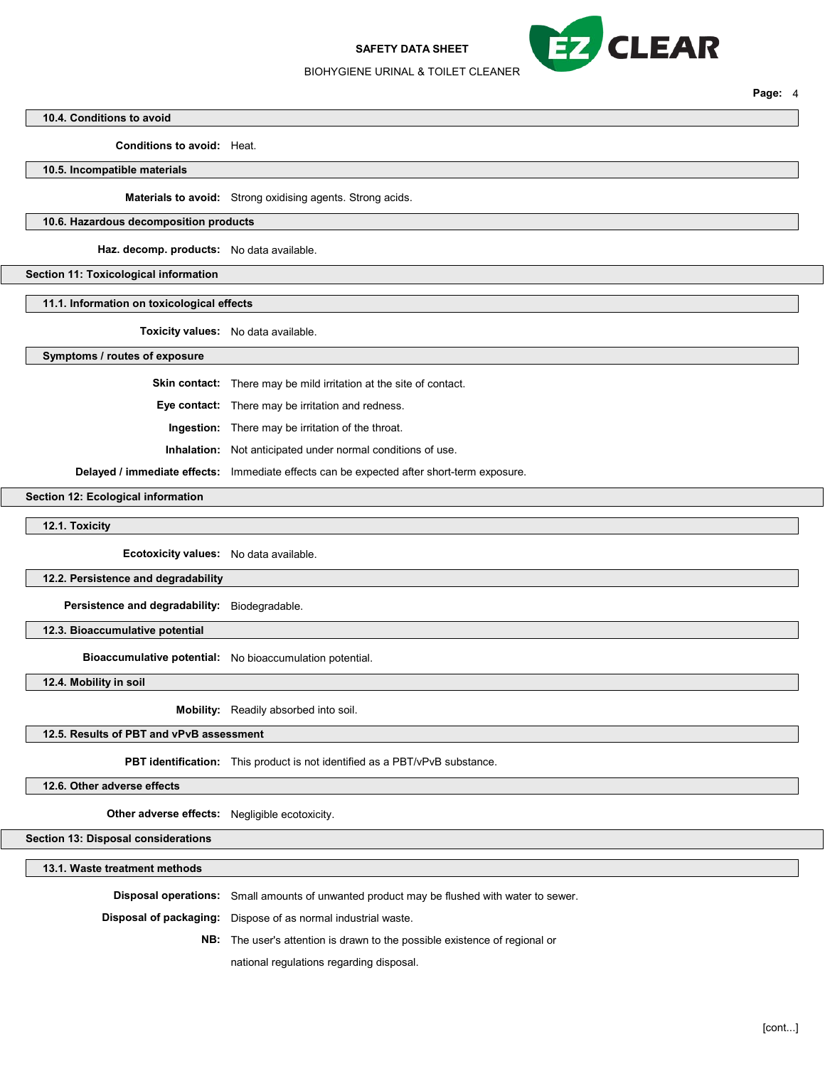SAFETY DATA SHEET



Page: 4

#### BIOHYGIENE URINAL & TOILET CLEANER

#### 10.4. Conditions to avoid

Conditions to avoid: Heat.

10.5. Incompatible materials

Materials to avoid: Strong oxidising agents. Strong acids.

#### 10.6. Hazardous decomposition products

Haz. decomp. products: No data available.

# Section 11: Toxicological information

11.1. Information on toxicological effects

Toxicity values: No data available.

#### Symptoms / routes of exposure

Skin contact: There may be mild irritation at the site of contact.

Eye contact: There may be irritation and redness.

Ingestion: There may be irritation of the throat.

Inhalation: Not anticipated under normal conditions of use.

Delayed / immediate effects: Immediate effects can be expected after short-term exposure.

### Section 12: Ecological information

12.1. Toxicity

Ecotoxicity values: No data available.

#### 12.2. Persistence and degradability

Persistence and degradability: Biodegradable.

# 12.3. Bioaccumulative potential

Bioaccumulative potential: No bioaccumulation potential.

12.4. Mobility in soil

Mobility: Readily absorbed into soil.

# 12.5. Results of PBT and vPvB assessment

PBT identification: This product is not identified as a PBT/vPvB substance.

### 12.6. Other adverse effects

Other adverse effects: Negligible ecotoxicity.

Section 13: Disposal considerations

13.1. Waste treatment methods

Disposal operations: Small amounts of unwanted product may be flushed with water to sewer.

Disposal of packaging: Dispose of as normal industrial waste.

NB: The user's attention is drawn to the possible existence of regional or

national regulations regarding disposal.